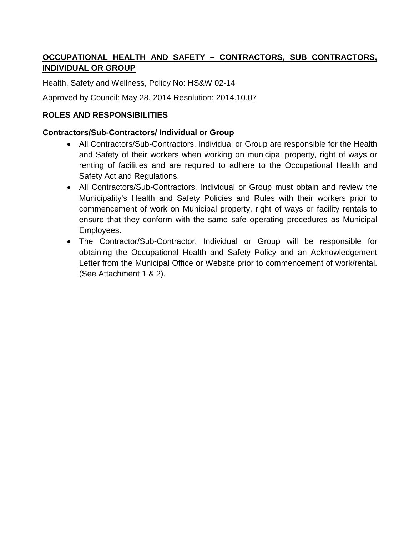# **OCCUPATIONAL HEALTH AND SAFETY – CONTRACTORS, SUB CONTRACTORS, INDIVIDUAL OR GROUP**

Health, Safety and Wellness, Policy No: HS&W 02-14

Approved by Council: May 28, 2014 Resolution: 2014.10.07

### **ROLES AND RESPONSIBILITIES**

#### **Contractors/Sub-Contractors/ Individual or Group**

- All Contractors/Sub-Contractors, Individual or Group are responsible for the Health and Safety of their workers when working on municipal property, right of ways or renting of facilities and are required to adhere to the Occupational Health and Safety Act and Regulations.
- All Contractors/Sub-Contractors, Individual or Group must obtain and review the Municipality's Health and Safety Policies and Rules with their workers prior to commencement of work on Municipal property, right of ways or facility rentals to ensure that they conform with the same safe operating procedures as Municipal Employees.
- The Contractor/Sub-Contractor, Individual or Group will be responsible for obtaining the Occupational Health and Safety Policy and an Acknowledgement Letter from the Municipal Office or Website prior to commencement of work/rental. (See Attachment 1 & 2).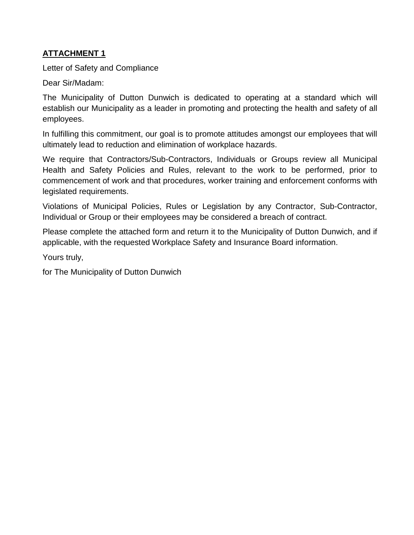### **ATTACHMENT 1**

Letter of Safety and Compliance

Dear Sir/Madam:

The Municipality of Dutton Dunwich is dedicated to operating at a standard which will establish our Municipality as a leader in promoting and protecting the health and safety of all employees.

In fulfilling this commitment, our goal is to promote attitudes amongst our employees that will ultimately lead to reduction and elimination of workplace hazards.

We require that Contractors/Sub-Contractors, Individuals or Groups review all Municipal Health and Safety Policies and Rules, relevant to the work to be performed, prior to commencement of work and that procedures, worker training and enforcement conforms with legislated requirements.

Violations of Municipal Policies, Rules or Legislation by any Contractor, Sub-Contractor, Individual or Group or their employees may be considered a breach of contract.

Please complete the attached form and return it to the Municipality of Dutton Dunwich, and if applicable, with the requested Workplace Safety and Insurance Board information.

Yours truly,

for The Municipality of Dutton Dunwich